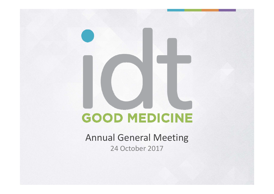# **GOOD MEDICINE**

Annual General Meeting 24 October 2017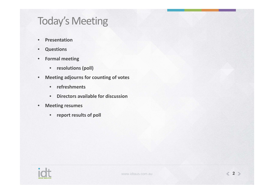# **Today's Meeting**

- •**Presentation**
- •**Questions**
- • **Formal meeting**
	- •**resolutions (poll)**
- • **Meeting adjourns for counting of votes**
	- •**refreshments**
	- •**Directors available for discussion**
- • **Meeting resumes**
	- **report results of poll**

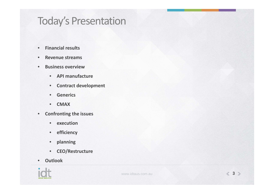## Today's Presentation

- •**Financial results**
- •**Revenue streams**
- • **Business overview**
	- •**API manufacture**
	- **Contract development**
	- $\bullet$ **Generics**
	- •**CMAX**
- • **Confronting the issues**
	- •**execution**
	- •**efficiency**
	- •**planning**
	- **CEO/Restructure**
- **Outlook**



www.idtaus.com.au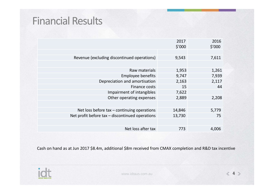#### Financial Results

| 2016<br>\$′000 | 2017<br>\$′000 |                                                 |
|----------------|----------------|-------------------------------------------------|
|                |                |                                                 |
| 7,611          | 9,543          | Revenue (excluding discontinued operations)     |
|                |                |                                                 |
| 1,261          | 1,953          | Raw materials                                   |
| 7,939          | 9,747          | <b>Employee benefits</b>                        |
| 2,117          | 2,163          | Depreciation and amortisation                   |
| 44             | 15             | Finance costs                                   |
|                | 7,622          | Impairment of intangibles                       |
| 2,208          | 2,889          | Other operating expenses                        |
|                |                |                                                 |
| 5,779          | 14,846         | Net loss before $tax$ - continuing operations   |
| 75             | 13,730         | Net profit before tax - discontinued operations |
|                |                |                                                 |
| 4,006          | 773            | Net loss after tax                              |

Cash on hand as at Jun 2017 \$8.4m, additional \$8m received from CMAX completion and R&D tax incentive

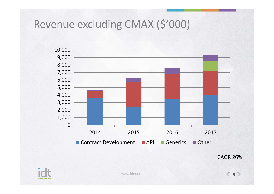## Revenue excluding CMAX (\$'000)





www.idtaus.com.au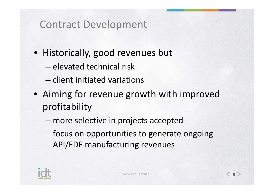### Contract Development

- Historically, good revenues but
	- elevated technical risk
	- client initiated variations
- Aiming for revenue growth with improved profitability
	- –more selective in projects accepted
	- focus on opportunities to generate ongoing API/FDF manufacturing revenues

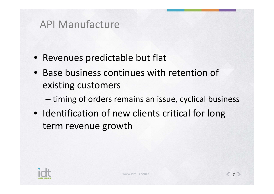# API Manufacture

- Revenues predictable but flat
- Base business continues with retention of existing customers
	- –timing of orders remains an issue, cyclical business
- Identification of new clients critical for long term revenue growth

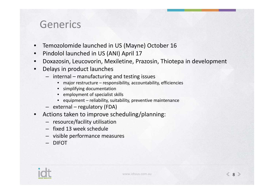#### Generics

- $\bullet$ Temozolomide launched in US (Mayne) October 16
- $\bullet$ • Pindolol launched in US (ANI) April 17
- $\bullet$ Doxazosin, Leucovorin, Mexiletine, Prazosin, Thiotepa in development
- $\bullet$  Delays in product launches
	- internal manufacturing and testing issues
		- major restructure responsibility, accountability, efficiencies
		- simplifying documentation
		- employment of specialist skills
		- equipment reliability, suitability, preventive maintenance
	- external regulatory (FDA)
- $\bullet$  Actions taken to improve scheduling/planning:
	- resource/facility utilisation
	- fixed 13 week schedule
	- visible performance measures
	- DIFOT

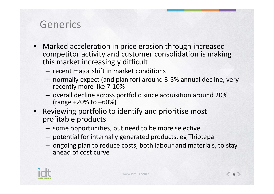#### Generics

- Marked acceleration in price erosion through increased competitor activity and customer consolidation is making this market increasingly difficult
	- $-$  recent major shift in market conditions
	- normally expect (and plan for) around 3‐5% annual decline, very recently more like 7‐10%
	- $-$  overall decline across portfolio since acquisition around 20%  $\,$ (range +20% to –60%)
- Reviewing portfolio to identify and prioritise most profitable products
	- some opportunities, but need to be more selective
	- –potential for internally generated products, eg Thiotepa
	- $-$  ongoing plan to reduce costs, both labour and materials, to stay ahead of cost curve

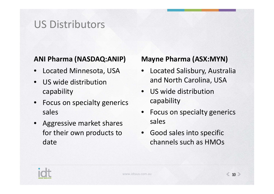# US Distributors

#### **ANI Pharma (NASDAQ:ANIP)**

- Located Minnesota, USA
- US wide distributioncapability
- Focus on specialty generics sales
- Aggressive market shares for their own products to date

#### **Mayne Pharma (ASX:MYN)**

- Located Salisbury, Australia and North Carolina, USA
- US wide distributioncapability
- Focus on specialty generics sales
- Good sales into specific channels such as HMOs

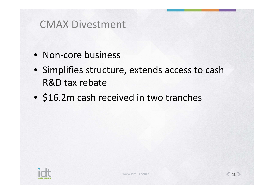#### CMAX Divestment

- Non-core business
- Simplifies structure, extends access to cash R&D tax rebate
- \$16.2m cash received in two tranches

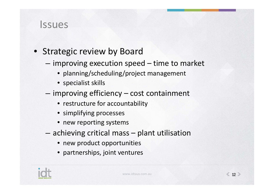#### **Issues**

#### • Strategic review by Board

- improving execution speed time to market
	- planning/scheduling/project management
	- specialist skills
- improving efficiency cost containment
	- restructure for accountability
	- simplifying processes
	- new reporting systems
- achieving critical mass plant utilisation
	- new product opportunities
	- partnerships, joint ventures

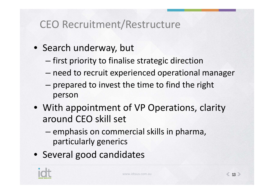# CEO Recruitment/Restructure

- Search underway, but
	- – $-$  first priority to finalise strategic direction
	- need to recruit experienced operational manager
	- –– prepared to invest the time to find the right person
- With appointment of VP Operations, clarity around CEO skill set
	- $-$  emphasis on commercial skills in pharma, particularly generics
- Several good candidates